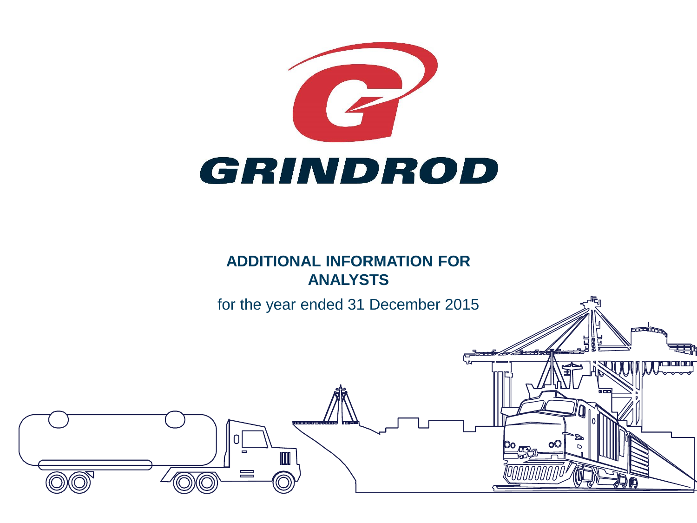

## **ADDITIONAL INFORMATION FOR ANALYSTS**

for the year ended 31 December 2015

 $\equiv$ 

annain.

 $\sigma$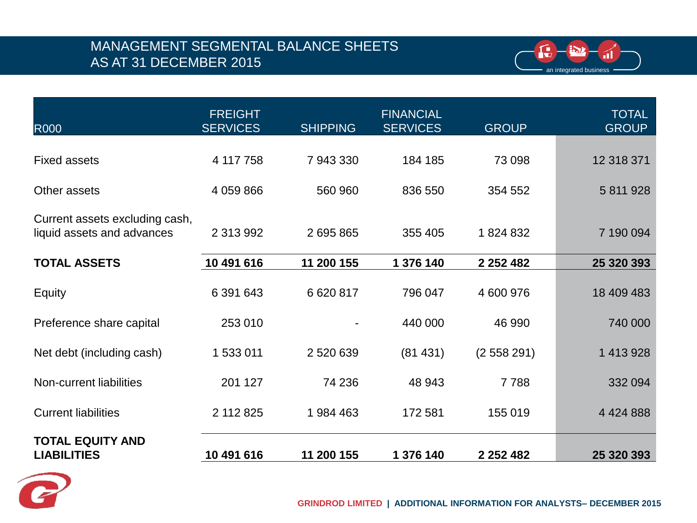#### MANAGEMENT SEGMENTAL BALANCE SHEETS AS AT 31 DECEMBER 2015



| <b>R000</b>                                                  | <b>FREIGHT</b><br><b>SERVICES</b> | <b>SHIPPING</b> | <b>FINANCIAL</b><br><b>SERVICES</b> | <b>GROUP</b>  | <b>TOTAL</b><br><b>GROUP</b> |
|--------------------------------------------------------------|-----------------------------------|-----------------|-------------------------------------|---------------|------------------------------|
| <b>Fixed assets</b>                                          | 4 117 758                         | 7 943 330       | 184 185                             | 73 098        | 12 318 371                   |
| Other assets                                                 | 4 059 866                         | 560 960         | 836 550                             | 354 552       | 5 811 928                    |
| Current assets excluding cash,<br>liquid assets and advances | 2 313 992                         | 2 695 865       | 355 405                             | 1824832       | 7 190 094                    |
| <b>TOTAL ASSETS</b>                                          | 10 491 616                        | 11 200 155      | 1 376 140                           | 2 2 5 2 4 8 2 | 25 320 393                   |
| Equity                                                       | 6 391 643                         | 6 620 817       | 796 047                             | 4 600 976     | 18 409 483                   |
| Preference share capital                                     | 253 010                           |                 | 440 000                             | 46 990        | 740 000                      |
| Net debt (including cash)                                    | 1 533 011                         | 2 520 639       | (81431)                             | (2558291)     | 1 413 928                    |
| Non-current liabilities                                      | 201 127                           | 74 236          | 48 943                              | 7788          | 332 094                      |
| <b>Current liabilities</b>                                   | 2 112 825                         | 1984 463        | 172 581                             | 155 019       | 4 4 2 4 8 8 8                |
| <b>TOTAL EQUITY AND</b><br><b>LIABILITIES</b>                | 10 491 616                        | 11 200 155      | 1 376 140                           | 2 2 5 2 4 8 2 | 25 320 393                   |

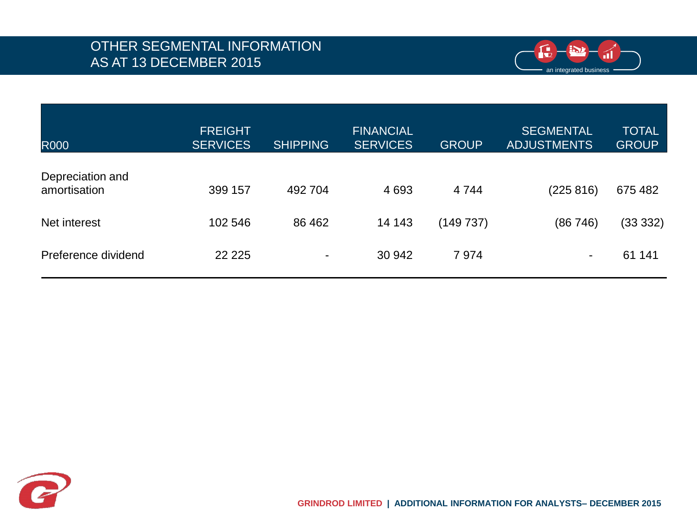

|                     | <b>FREIGHT</b>  |                 | <b>FINANCIAL</b> |              | <b>SEGMENTAL</b>   | <b>TOTAL</b> |
|---------------------|-----------------|-----------------|------------------|--------------|--------------------|--------------|
| <b>R000</b>         | <b>SERVICES</b> | <b>SHIPPING</b> | <b>SERVICES</b>  | <b>GROUP</b> | <b>ADJUSTMENTS</b> | <b>GROUP</b> |
|                     |                 |                 |                  |              |                    |              |
| Depreciation and    |                 |                 |                  |              |                    |              |
| amortisation        | 399 157         | 492 704         | 4 6 9 3          | 4 7 4 4      | (225 816)          | 675 482      |
|                     |                 |                 |                  |              |                    |              |
| Net interest        | 102 546         | 86 462          | 14 143           | (149737)     | (86746)            | (33 332)     |
|                     |                 |                 |                  |              |                    |              |
| Preference dividend | 22 2 2 5        | $\blacksquare$  | 30 942           | 7974         |                    | 61 141       |
|                     |                 |                 |                  |              |                    |              |

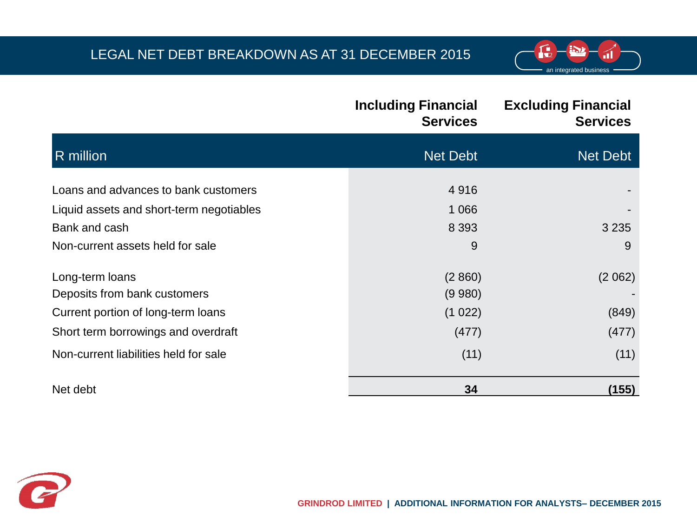#### LEGAL NET DEBT BREAKDOWN AS AT 31 DECEMBER 2015



|                                          | <b>Including Financial</b><br><b>Services</b> | <b>Excluding Financial</b><br><b>Services</b> |
|------------------------------------------|-----------------------------------------------|-----------------------------------------------|
| R million                                | <b>Net Debt</b>                               | Net Debt                                      |
| Loans and advances to bank customers     | 4916                                          |                                               |
| Liquid assets and short-term negotiables | 1 0 6 6                                       |                                               |
| Bank and cash                            | 8 3 9 3                                       | 3 2 3 5                                       |
| Non-current assets held for sale         | 9                                             | 9                                             |
| Long-term loans                          | (2860)                                        | (2062)                                        |
| Deposits from bank customers             | (9 980)                                       |                                               |
| Current portion of long-term loans       | (1022)                                        | (849)                                         |
| Short term borrowings and overdraft      | (477)                                         | (477)                                         |
| Non-current liabilities held for sale    | (11)                                          | (11)                                          |
| Net debt                                 | 34                                            | (155)                                         |

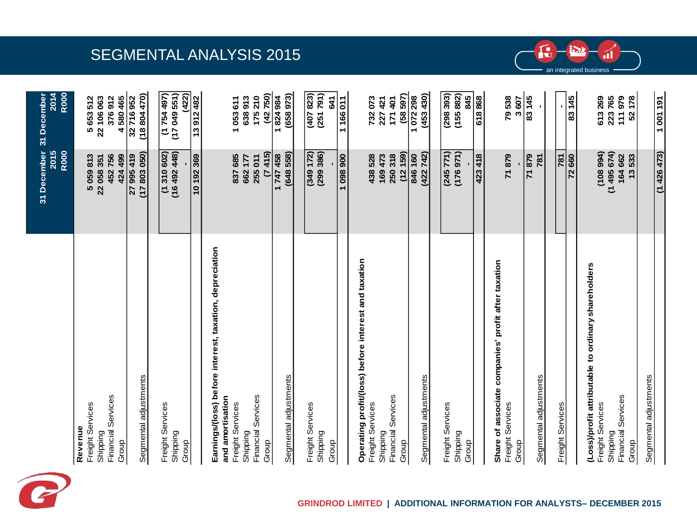

|                                                                         | 31 December 31 December<br>2015<br><b>R000</b> | <b>R000</b><br>2014       |
|-------------------------------------------------------------------------|------------------------------------------------|---------------------------|
| Freight Services<br>Revenue<br>Shipping                                 | 5059813<br>22 058 351                          | 5653512<br>22 106 063     |
| Financial Services<br>Group                                             | 452756<br>424 499                              | 4580465<br>376912         |
| Segmental adjustments                                                   | (17803050)<br>27 995 419                       | (18804470)<br>32716952    |
| Freight Services<br>Shipping                                            | (16492448)<br>(1310602)                        | (167 757 1)<br>(17049551) |
| Group                                                                   | 10 192 369                                     | (422)<br>13912482         |
| Earnings/(loss) before interest, taxation, depreciation                 |                                                |                           |
| and amortisation                                                        | 837685                                         |                           |
| Freight Services<br>Shipping                                            | 662177                                         | 638913<br>1053611         |
| Financial Services<br>Group                                             | (7415)<br>255 011                              | (42750)<br>210<br>175     |
| Segmental adjustments                                                   | (648558)<br>1747458                            | (658973)<br>1824984       |
|                                                                         |                                                |                           |
| Freight Services                                                        | (349172)<br>(299 386)                          | (407823)<br>(251 791)     |
| Shipping<br>Group                                                       |                                                | 541                       |
|                                                                         | 1098900                                        | 1166011                   |
| Operating profit/(loss) before interest and taxation                    |                                                |                           |
| Freight Services<br>Shipping                                            | 438528<br>169473                               | 732073<br>227 421         |
| Financial Services<br>Group                                             | (12159)<br>250 318                             | (58597)<br>171 401        |
|                                                                         | 846 160                                        | 1072298                   |
| Segmental adjustments                                                   | (422742)                                       | (453 430)                 |
| Freight Services                                                        | (245 771)                                      | (298393)                  |
| Shipping<br>Group                                                       | (176971)                                       | (155882)<br>845           |
|                                                                         | 423 418                                        | 618868                    |
| Share of associate companies' profit after taxation<br>Freight Services | 71879                                          | 79538                     |
| Group                                                                   | <b>6/8 k</b>                                   | 83145<br>3607             |
| Segmental adjustments                                                   | <b>781</b>                                     |                           |
| Freight Services                                                        | 781                                            |                           |
|                                                                         | 72660                                          | 83145                     |
| (Loss)/profit attributable to ordinary shareholders<br>Freight Services | (108994)                                       | 613269                    |
| Shipping                                                                | (1495674)                                      | 223765                    |
| <b>Financial Services</b><br>Group                                      | 164 662<br>13533                               | 111979<br>52178           |

### SEGMENTAL ANALYSIS 2015



an integrated business

п.

 $\mathbf{f}_{\mathbf{v}}$ 

 $(1426473)$ 

1001191

Segmental adjustments

Segmental adjustments

Group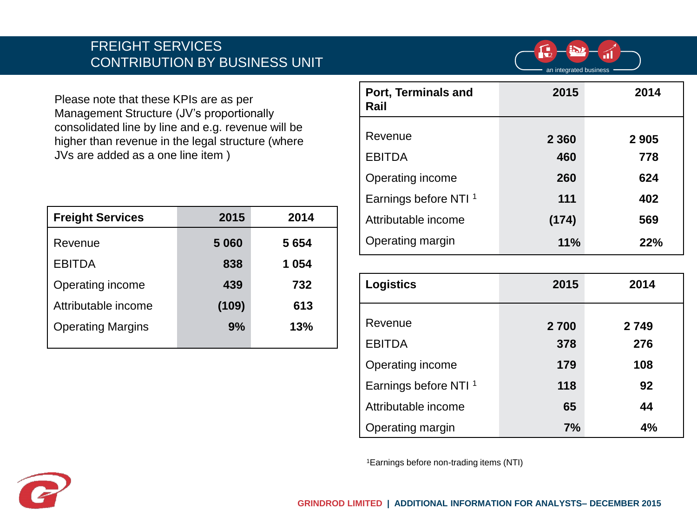#### FREIGHT SERVICES CONTRIBUTION BY BUSINESS UNIT



Please note that these KPIs are as per Management Structure (JV's proportionally consolidated line by line and e.g. revenue will be higher than revenue in the legal structure (where JVs are added as a one line item )

| <b>Freight Services</b>  | 2015  | 2014    |
|--------------------------|-------|---------|
| Revenue                  | 5060  | 5 6 5 4 |
| <b>EBITDA</b>            | 838   | 1 054   |
| Operating income         | 439   | 732     |
| Attributable income      | (109) | 613     |
| <b>Operating Margins</b> | 9%    | 13%     |
|                          |       |         |

| Port, Terminals and<br>Rail      | 2015    | 2014    |
|----------------------------------|---------|---------|
| Revenue                          |         |         |
|                                  | 2 3 6 0 | 2 9 0 5 |
| <b>EBITDA</b>                    | 460     | 778     |
| Operating income                 | 260     | 624     |
| Earnings before NTI <sup>1</sup> | 111     | 402     |
| Attributable income              | (174)   | 569     |
| Operating margin                 | 11%     | 22%     |

| <b>Logistics</b>                 | 2015 | 2014 |
|----------------------------------|------|------|
| Revenue                          | 2700 | 2749 |
| <b>EBITDA</b>                    | 378  | 276  |
| Operating income                 | 179  | 108  |
| Earnings before NTI <sup>1</sup> | 118  | 92   |
| Attributable income              | 65   | 44   |
| Operating margin                 | 7%   | 4%   |

1Earnings before non-trading items (NTI)

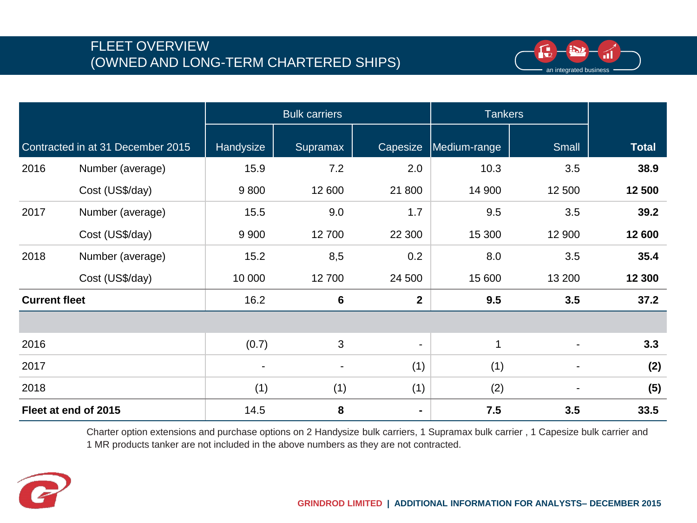#### FLEET OVERVIEW (OWNED AND LONG-TERM CHARTERED SHIPS)



|                      |                                   |                | <b>Bulk carriers</b>     |                          |              | <b>Tankers</b>           |              |
|----------------------|-----------------------------------|----------------|--------------------------|--------------------------|--------------|--------------------------|--------------|
|                      | Contracted in at 31 December 2015 | Handysize      | Supramax                 | Capesize                 | Medium-range | Small                    | <b>Total</b> |
| 2016                 | Number (average)                  | 15.9           | 7.2                      | 2.0                      | 10.3         | 3.5                      | 38.9         |
|                      | Cost (US\$/day)                   | 9800           | 12 600                   | 21 800                   | 14 900       | 12 500                   | 12 500       |
| 2017                 | Number (average)                  | 15.5           | 9.0                      | 1.7                      | 9.5          | 3.5                      | 39.2         |
|                      | Cost (US\$/day)                   | 9 9 0 0        | 12700                    | 22 300                   | 15 300       | 12 900                   | 12 600       |
| 2018                 | Number (average)                  | 15.2           | 8,5                      | 0.2                      | 8.0          | 3.5                      | 35.4         |
|                      | Cost (US\$/day)                   | 10 000         | 12700                    | 24 500                   | 15 600       | 13 200                   | 12 300       |
| <b>Current fleet</b> |                                   | 16.2           | $6\phantom{1}6$          | $\mathbf{2}$             | 9.5          | 3.5                      | 37.2         |
|                      |                                   |                |                          |                          |              |                          |              |
| 2016                 |                                   | (0.7)          | 3                        | $\overline{\phantom{a}}$ | $\mathbf 1$  |                          | 3.3          |
| 2017                 |                                   | $\blacksquare$ | $\overline{\phantom{a}}$ | (1)                      | (1)          | $\overline{\phantom{a}}$ | (2)          |
| 2018                 |                                   | (1)            | (1)                      | (1)                      | (2)          |                          | (5)          |
|                      | Fleet at end of 2015              | 14.5           | 8                        | $\blacksquare$           | 7.5          | 3.5                      | 33.5         |

Charter option extensions and purchase options on 2 Handysize bulk carriers, 1 Supramax bulk carrier , 1 Capesize bulk carrier and 1 MR products tanker are not included in the above numbers as they are not contracted.

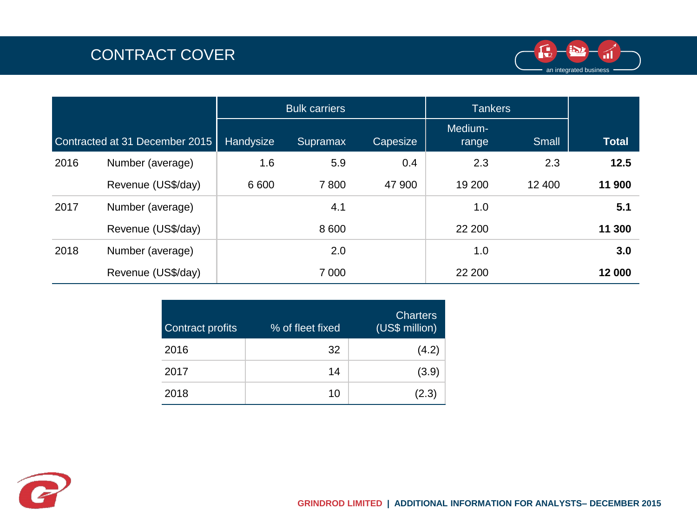# CONTRACT COVER



|      |                                |           | <b>Bulk carriers</b> |          | <b>Tankers</b>   |        |              |
|------|--------------------------------|-----------|----------------------|----------|------------------|--------|--------------|
|      | Contracted at 31 December 2015 | Handysize | Supramax             | Capesize | Medium-<br>range | Small  | <b>Total</b> |
| 2016 | Number (average)               | 1.6       | 5.9                  | 0.4      | 2.3              | 2.3    | 12.5         |
|      | Revenue (US\$/day)             | 6 600     | 7800                 | 47 900   | 19 200           | 12 400 | 11 900       |
| 2017 | Number (average)               |           | 4.1                  |          | 1.0              |        | 5.1          |
|      | Revenue (US\$/day)             |           | 8 600                |          | 22 200           |        | 11 300       |
| 2018 | Number (average)               |           | 2.0                  |          | 1.0              |        | 3.0          |
|      | Revenue (US\$/day)             |           | 7 0 0 0              |          | 22 200           |        | 12 000       |

| <b>Contract profits</b> | % of fleet fixed | <b>Charters</b><br>(US\$ million) |
|-------------------------|------------------|-----------------------------------|
| 2016                    | 32               | (4.2)                             |
| 2017                    | 14               | (3.9)                             |
| 2018                    | 10               | (2.3)                             |

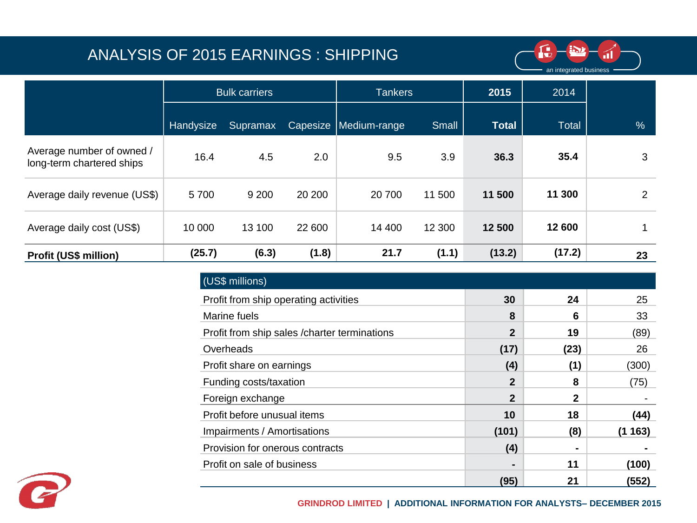## ANALYSIS OF 2015 EARNINGS : SHIPPING



|                                                        |           | 2015<br><b>Bulk carriers</b><br><b>Tankers</b> |          |              |        |              | 2014         |    |
|--------------------------------------------------------|-----------|------------------------------------------------|----------|--------------|--------|--------------|--------------|----|
|                                                        | Handysize | Supramax                                       | Capesize | Medium-range | Small  | <b>Total</b> | <b>Total</b> | %  |
| Average number of owned /<br>long-term chartered ships | 16.4      | 4.5                                            | 2.0      | 9.5          | 3.9    | 36.3         | 35.4         | 3  |
| Average daily revenue (US\$)                           | 5700      | 9 2 0 0                                        | 20 200   | 20 700       | 11 500 | 11 500       | 11 300       | 2  |
| Average daily cost (US\$)                              | 10 000    | 13 100                                         | 22 600   | 14 400       | 12 300 | 12 500       | 12 600       |    |
| <b>Profit (US\$ million)</b>                           | (25.7)    | (6.3)                                          | (1.8)    | 21.7         | (1.1)  | (13.2)       | (17.2)       | 23 |

| (US\$ millions)                               |                |              |        |
|-----------------------------------------------|----------------|--------------|--------|
| Profit from ship operating activities         | 30             | 24           | 25     |
| Marine fuels                                  | 8              | 6            | 33     |
| Profit from ship sales / charter terminations | $\mathbf{2}$   | 19           | (89)   |
| Overheads                                     | (17)           | (23)         | 26     |
| Profit share on earnings                      | (4)            | (1)          | (300)  |
| Funding costs/taxation                        | $\overline{2}$ | 8            | (75)   |
| Foreign exchange                              | $\overline{2}$ | $\mathbf{2}$ |        |
| Profit before unusual items                   | 10             | 18           | (44)   |
| Impairments / Amortisations                   | (101)          | (8)          | (1163) |
| Provision for onerous contracts               | (4)            |              |        |
| Profit on sale of business                    | -              | 11           | (100)  |
|                                               | (95)           | 21           | (552)  |